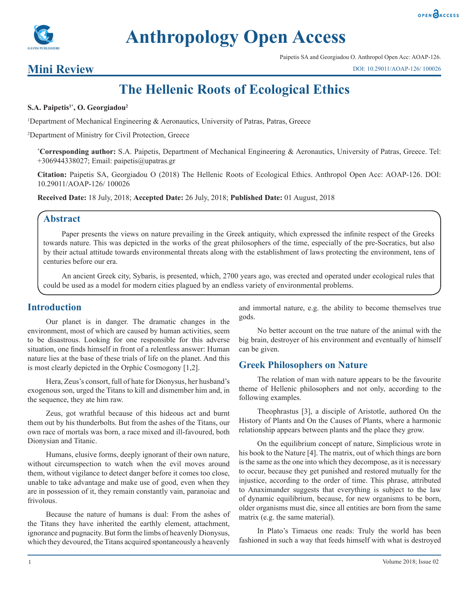

# **Anthropology Open Access**

Paipetis SA and Georgiadou O. Anthropol Open Acc: AOAP-126.

# **The Hellenic Roots of Ecological Ethics**

#### **S.A. Paipetis1\*, O. Georgiadou2**

<sup>1</sup>Department of Mechanical Engineering & Aeronautics, University of Patras, Patras, Greece

2 Department of Ministry for Civil Protection, Greece

**\* Corresponding author:** S.A. Paipetis, Department of Mechanical Engineering & Aeronautics, University of Patras, Greece. Tel: +306944338027; Email: paipetis@upatras.gr

**Citation:** Paipetis SA, Georgiadou O (2018) The Hellenic Roots of Ecological Ethics. Anthropol Open Acc: AOAP-126. DOI: 10.29011/AOAP-126/ 100026

**Received Date:** 18 July, 2018; **Accepted Date:** 26 July, 2018; **Published Date:** 01 August, 2018

#### **Abstract**

Paper presents the views on nature prevailing in the Greek antiquity, which expressed the infinite respect of the Greeks towards nature. This was depicted in the works of the great philosophers of the time, especially of the pre-Socratics, but also by their actual attitude towards environmental threats along with the establishment of laws protecting the environment, tens of centuries before our era.

An ancient Greek city, Sybaris, is presented, which, 2700 years ago, was erected and operated under ecological rules that could be used as a model for modern cities plagued by an endless variety of environmental problems.

# **Introduction**

Our planet is in danger. The dramatic changes in the environment, most of which are caused by human activities, seem to be disastrous. Looking for one responsible for this adverse situation, one finds himself in front of a relentless answer: Human nature lies at the base of these trials of life on the planet. And this is most clearly depicted in the Orphic Cosmogony [1,2].

Hera, Zeus's consort, full of hate for Dionysus, her husband's exogenous son, urged the Titans to kill and dismember him and, in the sequence, they ate him raw.

Zeus, got wrathful because of this hideous act and burnt them out by his thunderbolts. But from the ashes of the Titans, our own race of mortals was born, a race mixed and ill-favoured, both Dionysian and Titanic.

Humans, elusive forms, deeply ignorant of their own nature, without circumspection to watch when the evil moves around them, without vigilance to detect danger before it comes too close, unable to take advantage and make use of good, even when they are in possession of it, they remain constantly vain, paranoiac and frivolous.

Because the nature of humans is dual: From the ashes of the Titans they have inherited the earthly element, attachment, ignorance and pugnacity. But form the limbs of heavenly Dionysus, which they devoured, the Titans acquired spontaneously a heavenly

and immortal nature, e.g. the ability to become themselves true gods.

No better account on the true nature of the animal with the big brain, destroyer of his environment and eventually of himself can be given.

## **Greek Philosophers on Nature**

The relation of man with nature appears to be the favourite theme of Hellenic philosophers and not only, according to the following examples.

Theophrastus [3], a disciple of Aristotle, authored On the History of Plants and On the Causes of Plants, where a harmonic relationship appears between plants and the place they grow.

On the equilibrium concept of nature, Simplicious wrote in his book to the Nature [4]. The matrix, out of which things are born is the same as the one into which they decompose, as it is necessary to occur, because they get punished and restored mutually for the injustice, according to the order of time. This phrase, attributed to Anaximander suggests that everything is subject to the law of dynamic equilibrium, because, for new organisms to be born, older organisms must die, since all entities are born from the same matrix (e.g. the same material).

In Plato's Timaeus one reads: Truly the world has been fashioned in such a way that feeds himself with what is destroyed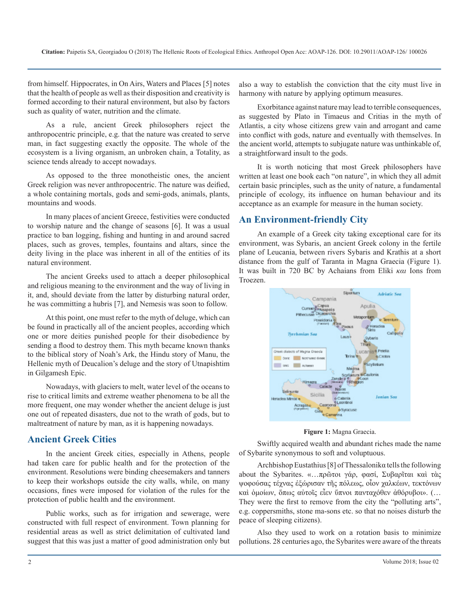from himself. Hippocrates, in On Airs, Waters and Places [5] notes that the health of people as well as their disposition and creativity is formed according to their natural environment, but also by factors such as quality of water, nutrition and the climate.

As a rule, ancient Greek philosophers reject the anthropocentric principle, e.g. that the nature was created to serve man, in fact suggesting exactly the opposite. The whole of the ecosystem is a living organism, an unbroken chain, a Totality, as science tends already to accept nowadays.

As opposed to the three monotheistic ones, the ancient Greek religion was never anthropocentric. The nature was deified, a whole containing mortals, gods and semi-gods, animals, plants, mountains and woods.

In many places of ancient Greece, festivities were conducted to worship nature and the change of seasons [6]. It was a usual practice to ban logging, fishing and hunting in and around sacred places, such as groves, temples, fountains and altars, since the deity living in the place was inherent in all of the entities of its natural environment.

The ancient Greeks used to attach a deeper philosophical and religious meaning to the environment and the way of living in it, and, should deviate from the latter by disturbing natural order, he was committing a hubris [7], and Nemesis was soon to follow.

At this point, one must refer to the myth of deluge, which can be found in practically all of the ancient peoples, according which one or more deities punished people for their disobedience by sending a flood to destroy them. This myth became known thanks to the biblical story of Noah's Ark, the Hindu story of Manu, the Hellenic myth of Deucalion's deluge and the story of Utnapishtim in Gilgamesh Epic.

Nowadays, with glaciers to melt, water level of the oceans to rise to critical limits and extreme weather phenomena to be all the more frequent, one may wonder whether the ancient deluge is just one out of repeated disasters, due not to the wrath of gods, but to maltreatment of nature by man, as it is happening nowadays.

#### **Ancient Greek Cities**

In the ancient Greek cities, especially in Athens, people had taken care for public health and for the protection of the environment. Resolutions were binding cheesemakers and tanners to keep their workshops outside the city walls, while, on many occasions, fines were imposed for violation of the rules for the protection of public health and the environment.

Public works, such as for irrigation and sewerage, were constructed with full respect of environment. Town planning for residential areas as well as strict delimitation of cultivated land suggest that this was just a matter of good administration only but also a way to establish the conviction that the city must live in harmony with nature by applying optimum measures.

Exorbitance against nature may lead to terrible consequences, as suggested by Plato in Timaeus and Critias in the myth of Atlantis, a city whose citizens grew vain and arrogant and came into conflict with gods, nature and eventually with themselves. In the ancient world, attempts to subjugate nature was unthinkable of, a straightforward insult to the gods.

It is worth noticing that most Greek philosophers have written at least one book each "on nature", in which they all admit certain basic principles, such as the unity of nature, a fundamental principle of ecology, its influence on human behaviour and its acceptance as an example for measure in the human society.

### **An Environment-friendly City**

An example of a Greek city taking exceptional care for its environment, was Sybaris, an ancient Greek colony in the fertile plane of Leucania, between rivers Sybaris and Krathis at a short distance from the gulf of Taranta in Magna Graecia (Figure 1). It was built in 720 BC by Achaians from Eliki *και* Ions from Troezen.



**Figure 1:** Magna Graecia.

Swiftly acquired wealth and abundant riches made the name of Sybarite synonymous to soft and voluptuous.

Archbishop Eustathius [8] of Thessalonikα tells the following about the Sybarites. «…πρῶτοι γάρ, φασί, Συβαρῖται καὶ τὰς ψοφούσας τέχνας ἐξώρισαν τῆς πόλεως, οἷον χαλκέων, τεκτόνων καὶ ὁμοίων, ὅπως αὐτοῖς εἶεν ὕπνοι πανταχόθεν ἀθόρυβοι». (… They were the first to remove from the city the "polluting arts", e.g. coppersmiths, stone ma-sons etc. so that no noises disturb the peace of sleeping citizens).

Also they used to work on a rotation basis to minimize pollutions. 28 centuries ago, the Sybarites were aware of the threats